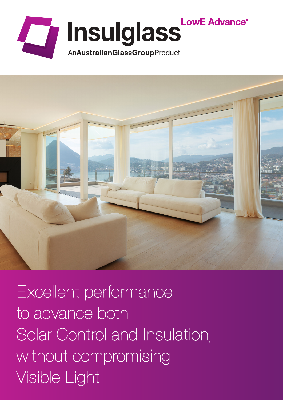



Excellent performance to advance both Solar Control and Insulation, without compromising Visible Light